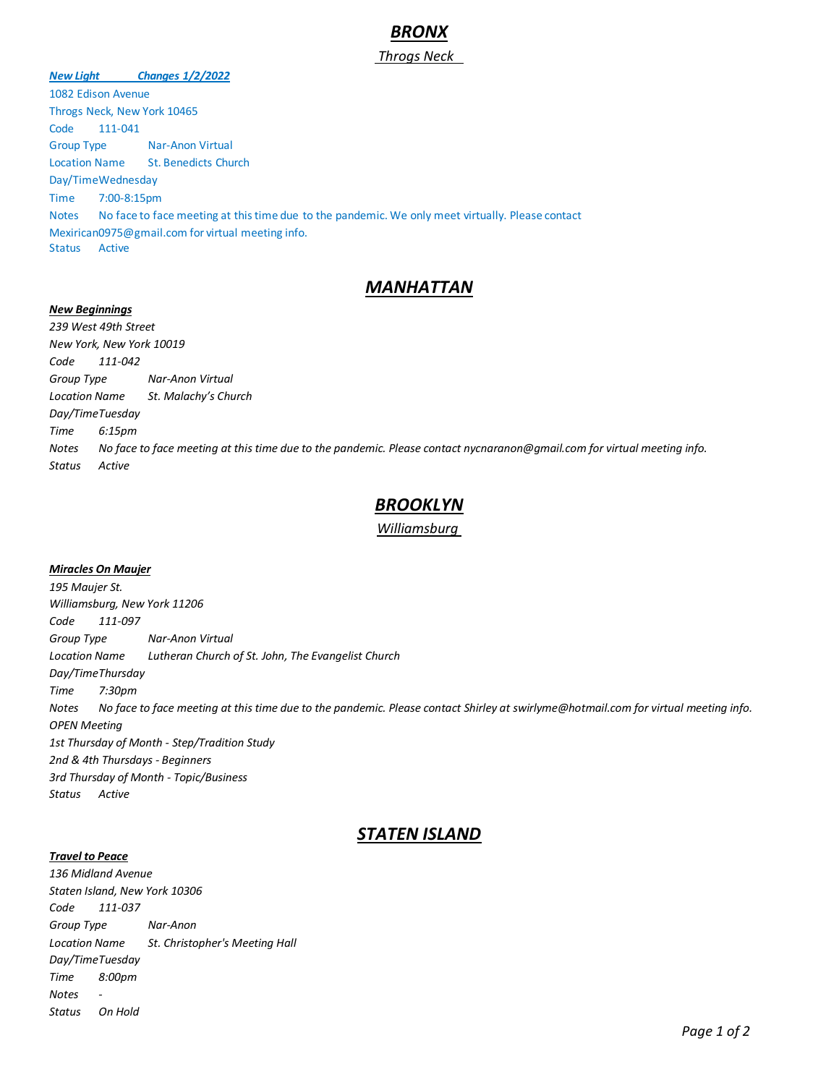# *BRONX*

## *Throgs Neck*

*New Light Changes 1/2/2022* 1082 Edison Avenue Throgs Neck, New York 10465 Code 111-041 Group Type Nar-Anon Virtual Location Name St. Benedicts Church Day/TimeWednesday Time 7:00-8:15pm Notes No face to face meeting at this time due to the pandemic. We only meet virtually. Please contact Mexirican0975@gmail.com for virtual meeting info. Status Active

# *MANHATTAN*

#### *New Beginnings*

*239 West 49th Street New York, New York 10019 Code 111-042 Group Type Nar-Anon Virtual Location Name St. Malachy's Church Day/TimeTuesday Time 6:15pm Notes No face to face meeting at this time due to the pandemic. Please contact nycnaranon@gmail.com for virtual meeting info. Status Active*

# *BROOKLYN*

## *Williamsburg*

#### *Miracles On Maujer*

*195 Maujer St. Williamsburg, New York 11206 Code 111-097 Group Type Nar-Anon Virtual Location Name Lutheran Church of St. John, The Evangelist Church Day/TimeThursday Time 7:30pm Notes No face to face meeting at this time due to the pandemic. Please contact Shirley at swirlyme@hotmail.com for virtual meeting info. OPEN Meeting 1st Thursday of Month - Step/Tradition Study 2nd & 4th Thursdays - Beginners 3rd Thursday of Month - Topic/Business Status Active*

# *STATEN ISLAND*

## *Travel to Peace*

*136 Midland Avenue Staten Island, New York 10306 Code 111-037 Group Type Nar-Anon Location Name St. Christopher's Meeting Hall Day/TimeTuesday Time 8:00pm Notes - Status On Hold*